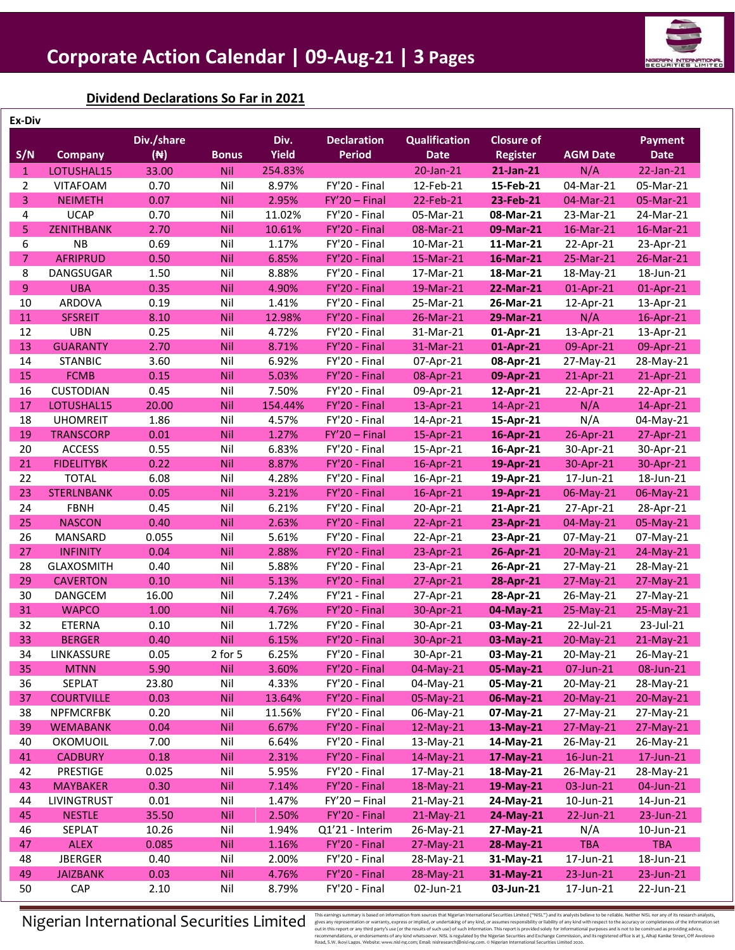

### **Dividend Declarations So Far in 2021**

| Ex-Div         |                   |                |              |              |                    |                      |                   |                 |                |
|----------------|-------------------|----------------|--------------|--------------|--------------------|----------------------|-------------------|-----------------|----------------|
|                |                   | Div./share     |              | Div.         | <b>Declaration</b> | <b>Qualification</b> | <b>Closure of</b> |                 | <b>Payment</b> |
| S/N            | <b>Company</b>    | $(\mathbb{N})$ | <b>Bonus</b> | <b>Yield</b> | <b>Period</b>      | <b>Date</b>          | <b>Register</b>   | <b>AGM Date</b> | <b>Date</b>    |
| $\mathbf{1}$   | LOTUSHAL15        | 33.00          | Nil          | 254.83%      |                    | 20-Jan-21            | 21-Jan-21         | N/A             | 22-Jan-21      |
| $\overline{2}$ | <b>VITAFOAM</b>   | 0.70           | Nil          | 8.97%        | FY'20 - Final      | 12-Feb-21            | 15-Feb-21         | 04-Mar-21       | 05-Mar-21      |
| 3              | <b>NEIMETH</b>    | 0.07           | Nil          | 2.95%        | $FY'20 - Final$    | 22-Feb-21            | 23-Feb-21         | 04-Mar-21       | 05-Mar-21      |
| 4              | <b>UCAP</b>       | 0.70           | Nil          | 11.02%       | FY'20 - Final      | 05-Mar-21            | 08-Mar-21         | 23-Mar-21       | 24-Mar-21      |
| 5              | <b>ZENITHBANK</b> | 2.70           | Nil          | 10.61%       | FY'20 - Final      | 08-Mar-21            | 09-Mar-21         | 16-Mar-21       | 16-Mar-21      |
| 6              | <b>NB</b>         | 0.69           | Nil          | 1.17%        | FY'20 - Final      | 10-Mar-21            | 11-Mar-21         | 22-Apr-21       | 23-Apr-21      |
| $\overline{7}$ | <b>AFRIPRUD</b>   | 0.50           | Nil          | 6.85%        | FY'20 - Final      | 15-Mar-21            | 16-Mar-21         | 25-Mar-21       | 26-Mar-21      |
| 8              | DANGSUGAR         | 1.50           | Nil          | 8.88%        | FY'20 - Final      | 17-Mar-21            | 18-Mar-21         | 18-May-21       | 18-Jun-21      |
| 9              | <b>UBA</b>        | 0.35           | Nil          | 4.90%        | FY'20 - Final      | 19-Mar-21            | 22-Mar-21         | 01-Apr-21       | 01-Apr-21      |
| 10             | ARDOVA            | 0.19           | Nil          | 1.41%        | FY'20 - Final      | 25-Mar-21            | 26-Mar-21         | 12-Apr-21       | 13-Apr-21      |
| 11             | <b>SFSREIT</b>    | 8.10           | Nil          | 12.98%       | FY'20 - Final      | 26-Mar-21            | 29-Mar-21         | N/A             | 16-Apr-21      |
| 12             | <b>UBN</b>        | 0.25           | Nil          | 4.72%        | FY'20 - Final      | 31-Mar-21            | 01-Apr-21         | 13-Apr-21       | 13-Apr-21      |
| 13             | <b>GUARANTY</b>   | 2.70           | Nil          | 8.71%        | FY'20 - Final      | 31-Mar-21            | 01-Apr-21         | 09-Apr-21       | 09-Apr-21      |
| 14             | <b>STANBIC</b>    | 3.60           | Nil          | 6.92%        | FY'20 - Final      | 07-Apr-21            | 08-Apr-21         | 27-May-21       | 28-May-21      |
| 15             | <b>FCMB</b>       | 0.15           | Nil          | 5.03%        | FY'20 - Final      | 08-Apr-21            | 09-Apr-21         | 21-Apr-21       | 21-Apr-21      |
| 16             | <b>CUSTODIAN</b>  | 0.45           | Nil          | 7.50%        | FY'20 - Final      | 09-Apr-21            | 12-Apr-21         | 22-Apr-21       | 22-Apr-21      |
| 17             | LOTUSHAL15        | 20.00          | Nil          | 154.44%      | FY'20 - Final      | 13-Apr-21            | 14-Apr-21         | N/A             | 14-Apr-21      |
| 18             | <b>UHOMREIT</b>   | 1.86           | Nil          | 4.57%        | FY'20 - Final      | 14-Apr-21            | 15-Apr-21         | N/A             | 04-May-21      |
| 19             | <b>TRANSCORP</b>  | 0.01           | Nil          | 1.27%        | $FY'20 - Final$    | 15-Apr-21            | 16-Apr-21         | 26-Apr-21       | 27-Apr-21      |
| 20             | <b>ACCESS</b>     | 0.55           | Nil          | 6.83%        | FY'20 - Final      | 15-Apr-21            | 16-Apr-21         | 30-Apr-21       | 30-Apr-21      |
| 21             | <b>FIDELITYBK</b> | 0.22           | Nil          | 8.87%        | FY'20 - Final      | 16-Apr-21            | 19-Apr-21         | 30-Apr-21       | 30-Apr-21      |
| 22             | <b>TOTAL</b>      | 6.08           | Nil          | 4.28%        | FY'20 - Final      | 16-Apr-21            | 19-Apr-21         | 17-Jun-21       | 18-Jun-21      |
| 23             | <b>STERLNBANK</b> | 0.05           | Nil          | 3.21%        | FY'20 - Final      | 16-Apr-21            | 19-Apr-21         | 06-May-21       | 06-May-21      |
| 24             | <b>FBNH</b>       | 0.45           | Nil          | 6.21%        | FY'20 - Final      | 20-Apr-21            | 21-Apr-21         | 27-Apr-21       | 28-Apr-21      |
| 25             | <b>NASCON</b>     | 0.40           | Nil          | 2.63%        | FY'20 - Final      | 22-Apr-21            | 23-Apr-21         | 04-May-21       | 05-May-21      |
| 26             | MANSARD           | 0.055          | Nil          | 5.61%        | FY'20 - Final      | 22-Apr-21            | 23-Apr-21         | 07-May-21       | 07-May-21      |
| 27             | <b>INFINITY</b>   | 0.04           | Nil          | 2.88%        | FY'20 - Final      | 23-Apr-21            | 26-Apr-21         | 20-May-21       | 24-May-21      |
| 28             | <b>GLAXOSMITH</b> | 0.40           | Nil          | 5.88%        | FY'20 - Final      | 23-Apr-21            | 26-Apr-21         | 27-May-21       | 28-May-21      |
| 29             | <b>CAVERTON</b>   | 0.10           | Nil          | 5.13%        | FY'20 - Final      | 27-Apr-21            | 28-Apr-21         | 27-May-21       | 27-May-21      |
| 30             | <b>DANGCEM</b>    | 16.00          | Nil          | 7.24%        | FY'21 - Final      | 27-Apr-21            | 28-Apr-21         | 26-May-21       | 27-May-21      |
| 31             | <b>WAPCO</b>      | 1.00           | Nil          | 4.76%        | FY'20 - Final      | 30-Apr-21            | 04-May-21         | 25-May-21       | 25-May-21      |
| 32             | <b>ETERNA</b>     | 0.10           | Nil          | 1.72%        | FY'20 - Final      | 30-Apr-21            | 03-May-21         | 22-Jul-21       | 23-Jul-21      |
| 33             | <b>BERGER</b>     | 0.40           | Nil          | 6.15%        | FY'20 - Final      | 30-Apr-21            | 03-May-21         | 20-May-21       | $21-May-21$    |
| 34             | LINKASSURE        | 0.05           | 2 for 5      | 6.25%        | FY'20 - Final      | 30-Apr-21            | 03-May-21         | 20-May-21       | 26-May-21      |
| 35             | <b>MTNN</b>       | 5.90           | Nil          | 3.60%        | FY'20 - Final      | 04-May-21            | 05-May-21         | 07-Jun-21       | 08-Jun-21      |
| 36             | SEPLAT            | 23.80          | Nil          | 4.33%        | FY'20 - Final      | 04-May-21            | 05-May-21         | 20-May-21       | 28-May-21      |
| 37             | <b>COURTVILLE</b> | 0.03           | <b>Nil</b>   | 13.64%       | FY'20 - Final      | 05-May-21            | 06-May-21         | 20-May-21       | $20-May-21$    |
| 38             | <b>NPFMCRFBK</b>  | 0.20           | Nil          | 11.56%       | FY'20 - Final      | 06-May-21            | 07-May-21         | 27-May-21       | 27-May-21      |
| 39             | <b>WEMABANK</b>   | 0.04           | <b>Nil</b>   | 6.67%        | FY'20 - Final      | 12-May-21            | 13-May-21         | 27-May-21       | 27-May-21      |
| 40             | OKOMUOIL          | 7.00           | Nil          | 6.64%        | FY'20 - Final      | 13-May-21            | 14-May-21         | 26-May-21       | 26-May-21      |
| 41             | <b>CADBURY</b>    | 0.18           | Nil          | 2.31%        | FY'20 - Final      | 14-May-21            | 17-May-21         | $16$ -Jun-21    | 17-Jun-21      |
| 42             | <b>PRESTIGE</b>   | 0.025          | Nil          | 5.95%        | FY'20 - Final      | 17-May-21            | 18-May-21         | 26-May-21       | 28-May-21      |
| 43             | <b>MAYBAKER</b>   | 0.30           | <b>Nil</b>   | 7.14%        | FY'20 - Final      | 18-May-21            | 19-May-21         | 03-Jun-21       | 04-Jun-21      |
| 44             | LIVINGTRUST       | 0.01           | Nil          | 1.47%        | $FY'20 - Final$    | 21-May-21            | 24-May-21         | 10-Jun-21       | 14-Jun-21      |
| 45             | <b>NESTLE</b>     | 35.50          | Nil          | 2.50%        | FY'20 - Final      | 21-May-21            | 24-May-21         | 22-Jun-21       | 23-Jun-21      |
| 46             | SEPLAT            | 10.26          | Nil          | 1.94%        | Q1'21 - Interim    | 26-May-21            | 27-May-21         | N/A             | 10-Jun-21      |
| 47             | <b>ALEX</b>       | 0.085          | Nil          | 1.16%        | FY'20 - Final      | 27-May-21            | 28-May-21         | <b>TBA</b>      | <b>TBA</b>     |
| 48             | <b>JBERGER</b>    | 0.40           | Nil          | 2.00%        | FY'20 - Final      | 28-May-21            | 31-May-21         | 17-Jun-21       | 18-Jun-21      |
| 49             | <b>JAIZBANK</b>   | 0.03           | Nil          | 4.76%        |                    |                      | 31-May-21         | 23-Jun-21       |                |
| 50             |                   |                |              |              | FY'20 - Final      | 28-May-21            |                   |                 | 23-Jun-21      |
|                | CAP               | 2.10           | Nil          | 8.79%        | FY'20 - Final      | 02-Jun-21            | 03-Jun-21         | 17-Jun-21       | 22-Jun-21      |

 $\textbf{N}$  isteraining summarily based on information of or multile archive in the second paramilgs is based on information for warmings is based on information for warmings is based on information for any thind party's use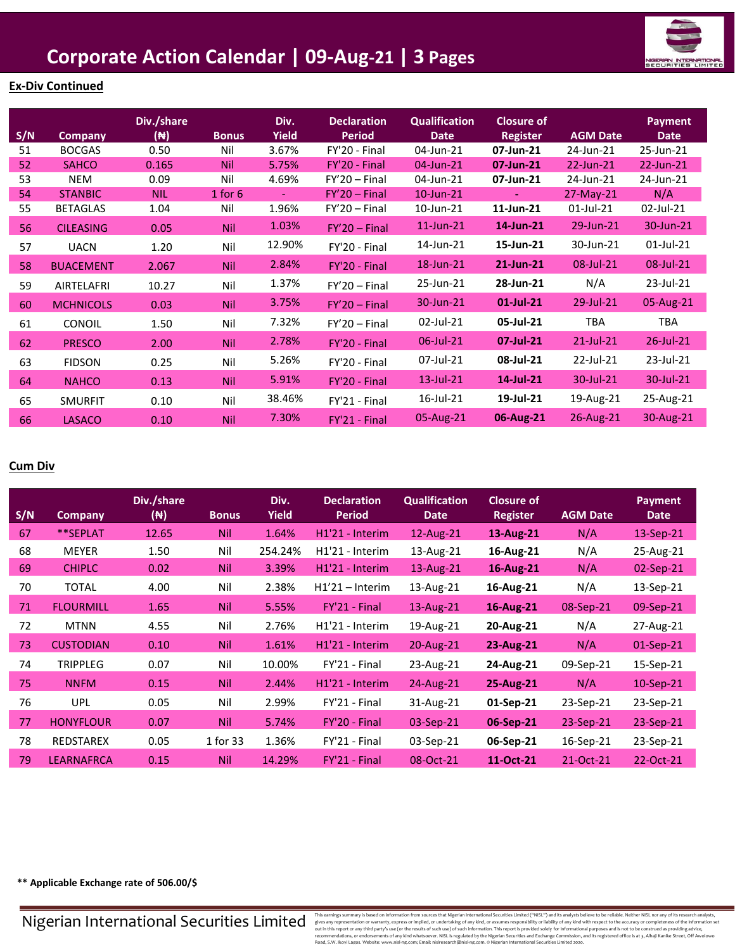

### **Ex-Div Continued**

| S/N | Company          | Div./share<br>(N) | <b>Bonus</b> | Div.<br><b>Yield</b> | <b>Declaration</b><br><b>Period</b> | <b>Qualification</b><br><b>Date</b> | <b>Closure of</b><br><b>Register</b> | <b>AGM Date</b> | Payment<br><b>Date</b> |
|-----|------------------|-------------------|--------------|----------------------|-------------------------------------|-------------------------------------|--------------------------------------|-----------------|------------------------|
| 51  | <b>BOCGAS</b>    | 0.50              | Nil          | 3.67%                | FY'20 - Final                       | 04-Jun-21                           | 07-Jun-21                            | 24-Jun-21       | 25-Jun-21              |
| 52  | <b>SAHCO</b>     | 0.165             | <b>Nil</b>   | 5.75%                | FY'20 - Final                       | 04-Jun-21                           | 07-Jun-21                            | 22-Jun-21       | 22-Jun-21              |
| 53  | <b>NEM</b>       | 0.09              | Nil          | 4.69%                | $FY'20 - Final$                     | 04-Jun-21                           | 07-Jun-21                            | 24-Jun-21       | 24-Jun-21              |
| 54  | <b>STANBIC</b>   | <b>NIL</b>        | $1$ for $6$  | $\blacksquare$       | $FY'20 - Final$                     | 10-Jun-21                           | $\blacksquare$                       | 27-May-21       | N/A                    |
| 55  | <b>BETAGLAS</b>  | 1.04              | Nil          | 1.96%                | $FY'20 - Final$                     | 10-Jun-21                           | 11-Jun-21                            | $01$ -Jul-21    | 02-Jul-21              |
| 56  | <b>CILEASING</b> | 0.05              | <b>Nil</b>   | 1.03%                | $FY'20 - Final$                     | $11$ -Jun- $21$                     | 14-Jun-21                            | 29-Jun-21       | 30-Jun-21              |
| 57  | <b>UACN</b>      | 1.20              | Nil          | 12.90%               | FY'20 - Final                       | 14-Jun-21                           | 15-Jun-21                            | 30-Jun-21       | $01$ -Jul-21           |
| 58  | <b>BUACEMENT</b> | 2.067             | <b>Nil</b>   | 2.84%                | FY'20 - Final                       | 18-Jun-21                           | 21-Jun-21                            | 08-Jul-21       | 08-Jul-21              |
| 59  | AIRTELAFRI       | 10.27             | Nil          | 1.37%                | $FY'20 - Final$                     | 25-Jun-21                           | 28-Jun-21                            | N/A             | 23-Jul-21              |
| 60  | <b>MCHNICOLS</b> | 0.03              | <b>Nil</b>   | 3.75%                | $FY'20 - Final$                     | 30-Jun-21                           | $01$ -Jul-21                         | 29-Jul-21       | 05-Aug-21              |
| 61  | CONOIL           | 1.50              | Nil          | 7.32%                | $FY'20 - Final$                     | 02-Jul-21                           | 05-Jul-21                            | <b>TBA</b>      | <b>TBA</b>             |
| 62  | <b>PRESCO</b>    | 2.00              | <b>Nil</b>   | 2.78%                | FY'20 - Final                       | 06-Jul-21                           | 07-Jul-21                            | $21$ -Jul-21    | 26-Jul-21              |
| 63  | <b>FIDSON</b>    | 0.25              | Nil          | 5.26%                | FY'20 - Final                       | 07-Jul-21                           | 08-Jul-21                            | 22-Jul-21       | 23-Jul-21              |
| 64  | <b>NAHCO</b>     | 0.13              | <b>Nil</b>   | 5.91%                | FY'20 - Final                       | $13$ -Jul-21                        | 14-Jul-21                            | 30-Jul-21       | 30-Jul-21              |
| 65  | <b>SMURFIT</b>   | 0.10              | Nil          | 38.46%               | FY'21 - Final                       | 16-Jul-21                           | 19-Jul-21                            | 19-Aug-21       | 25-Aug-21              |
| 66  | <b>LASACO</b>    | 0.10              | <b>Nil</b>   | 7.30%                | FY'21 - Final                       | 05-Aug-21                           | 06-Aug-21                            | 26-Aug-21       | 30-Aug-21              |

#### **Cum Div**

| S/N | <b>Company</b>    | Div./share<br>( <del>N</del> ) | <b>Bonus</b> | Div.<br><b>Yield</b> | <b>Declaration</b><br><b>Period</b> | <b>Qualification</b><br><b>Date</b> | <b>Closure of</b><br><b>Register</b> | <b>AGM Date</b> | <b>Payment</b><br><b>Date</b> |
|-----|-------------------|--------------------------------|--------------|----------------------|-------------------------------------|-------------------------------------|--------------------------------------|-----------------|-------------------------------|
| 67  | **SEPLAT          | 12.65                          | <b>Nil</b>   | 1.64%                | H <sub>1</sub> '21 - Interim        | $12$ -Aug- $21$                     | 13-Aug-21                            | N/A             | 13-Sep-21                     |
| 68  | <b>MEYER</b>      | 1.50                           | Nil          | 254.24%              | H1'21 - Interim                     | 13-Aug-21                           | 16-Aug-21                            | N/A             | 25-Aug-21                     |
| 69  | <b>CHIPLC</b>     | 0.02                           | <b>Nil</b>   | 3.39%                | H1'21 - Interim                     | $13$ -Aug-21                        | 16-Aug-21                            | N/A             | $02$ -Sep-21                  |
| 70  | <b>TOTAL</b>      | 4.00                           | Nil          | 2.38%                | $H1'21 - Interm$                    | 13-Aug-21                           | 16-Aug-21                            | N/A             | 13-Sep-21                     |
| 71  | <b>FLOURMILL</b>  | 1.65                           | <b>Nil</b>   | 5.55%                | FY'21 - Final                       | $13$ -Aug-21                        | 16-Aug-21                            | 08-Sep-21       | 09-Sep-21                     |
| 72  | <b>MTNN</b>       | 4.55                           | Nil          | 2.76%                | H1'21 - Interim                     | 19-Aug-21                           | 20-Aug-21                            | N/A             | 27-Aug-21                     |
| 73  | <b>CUSTODIAN</b>  | 0.10                           | <b>Nil</b>   | 1.61%                | H <sub>1</sub> '21 - Interim        | 20-Aug-21                           | 23-Aug-21                            | N/A             | $01-Sep-21$                   |
| 74  | <b>TRIPPLEG</b>   | 0.07                           | Nil          | 10.00%               | FY'21 - Final                       | 23-Aug-21                           | 24-Aug-21                            | 09-Sep-21       | 15-Sep-21                     |
| 75  | <b>NNFM</b>       | 0.15                           | <b>Nil</b>   | 2.44%                | H1'21 - Interim                     | 24-Aug-21                           | 25-Aug-21                            | N/A             | 10-Sep-21                     |
| 76  | <b>UPL</b>        | 0.05                           | Nil          | 2.99%                | FY'21 - Final                       | 31-Aug-21                           | 01-Sep-21                            | 23-Sep-21       | 23-Sep-21                     |
| 77  | <b>HONYFLOUR</b>  | 0.07                           | Nil          | 5.74%                | FY'20 - Final                       | 03-Sep-21                           | 06-Sep-21                            | 23-Sep-21       | 23-Sep-21                     |
| 78  | REDSTAREX         | 0.05                           | 1 for 33     | 1.36%                | FY'21 - Final                       | 03-Sep-21                           | 06-Sep-21                            | 16-Sep-21       | 23-Sep-21                     |
| 79  | <b>LEARNAFRCA</b> | 0.15                           | <b>Nil</b>   | 14.29%               | FY'21 - Final                       | 08-Oct-21                           | 11-Oct-21                            | 21-Oct-21       | 22-Oct-21                     |

**\*\* Applicable Exchange rate of 506.00/\$**

Nigerian International Securities Limited

This earnings summary is based on information from sources that Migretian Interactional Securities Limital and Migretian Interactional Securities Limital Securities (will serve the information of marginal states and missin